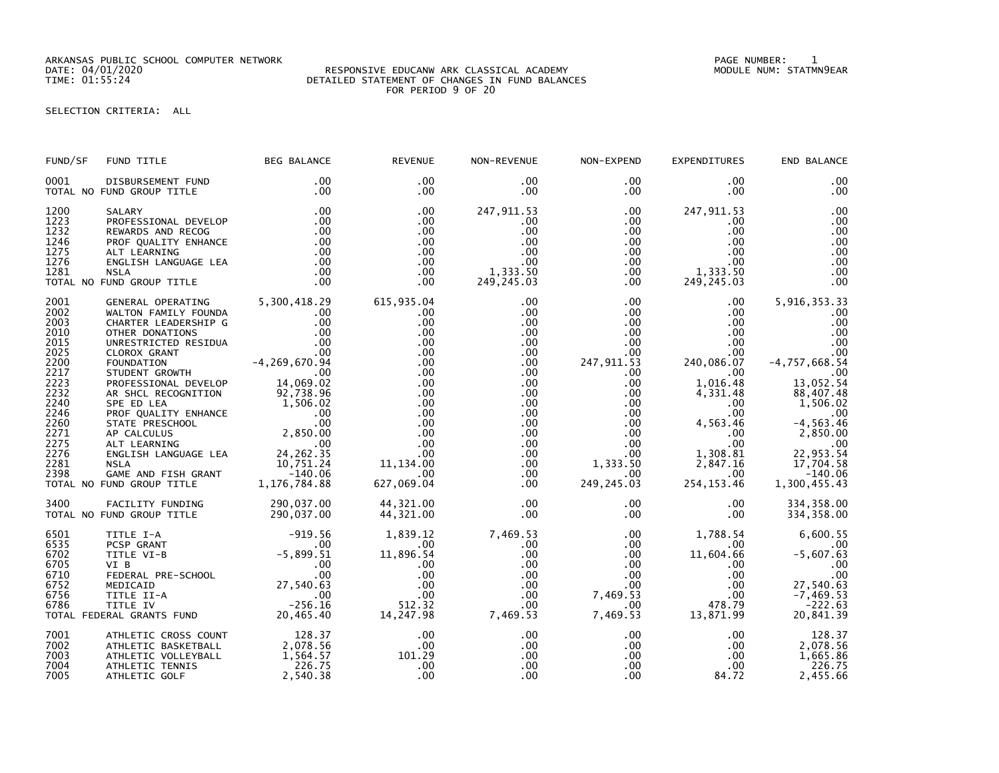ARKANSAS PUBLIC SCHOOL COMPUTER NETWORK PAGE NUMBER: 1

## DATE: 04/01/2020 RESPONSIVE EDUCANW ARK CLASSICAL ACADEMY MODULE NUM: STATMN9EAR TIME: 01:55:24 DETAILED STATEMENT OF CHANGES IN FUND BALANCES FOR PERIOD 9 OF 20

SELECTION CRITERIA: ALL

| FUND/SF                                                                                                                                      | FUND TITLE                                                                                                                                                                                                                                                                                                                                                                                                                                                                                                                                                                   | <b>BEG BALANCE</b>                                                                           | <b>REVENUE</b>                                                                                                                                        | NON-REVENUE                                                                                                                                                                                                                    | NON-EXPEND                                                                                                                                                                                            | <b>EXPENDITURES</b>                                                                                                                                                                                                    | END BALANCE                                                                                                                                                                                                        |
|----------------------------------------------------------------------------------------------------------------------------------------------|------------------------------------------------------------------------------------------------------------------------------------------------------------------------------------------------------------------------------------------------------------------------------------------------------------------------------------------------------------------------------------------------------------------------------------------------------------------------------------------------------------------------------------------------------------------------------|----------------------------------------------------------------------------------------------|-------------------------------------------------------------------------------------------------------------------------------------------------------|--------------------------------------------------------------------------------------------------------------------------------------------------------------------------------------------------------------------------------|-------------------------------------------------------------------------------------------------------------------------------------------------------------------------------------------------------|------------------------------------------------------------------------------------------------------------------------------------------------------------------------------------------------------------------------|--------------------------------------------------------------------------------------------------------------------------------------------------------------------------------------------------------------------|
| 0001                                                                                                                                         | DISBURSEMENT FUND<br>TOTAL NO FUND GROUP TITLE                                                                                                                                                                                                                                                                                                                                                                                                                                                                                                                               | .00<br>.00                                                                                   | .00<br>$.00 \,$                                                                                                                                       | .00<br>$.00 \,$                                                                                                                                                                                                                | .00<br>.00                                                                                                                                                                                            | $.00 \,$<br>$.00 \,$                                                                                                                                                                                                   | .00<br>.00                                                                                                                                                                                                         |
| 1200<br>1223<br>1232<br>1246<br>1275<br>1276<br>1281                                                                                         | SALARY<br>PROFESSIONAL DEVELOP<br>REWARDS AND RECOG<br>PROF QUALITY ENHANCE<br>ALT LEARNING<br>ENGLISH LANGUAGE LEA<br><b>NSLA</b><br>TOTAL NO FUND GROUP TITLE                                                                                                                                                                                                                                                                                                                                                                                                              | .00<br>.00<br>$\overline{\phantom{0}}$ .00<br>$\frac{0.00}{0.00}$<br>.00<br>.00<br>.00       | .00<br>.00<br>.00<br>$.00 \,$<br>$.00 \,$<br>$.00 \times$<br>$.00 \,$<br>$.00 \times$                                                                 | 247, 911.53<br>$.00 \,$<br>.00<br>$.00 \,$<br>.00<br>$.00 \,$<br>1,333.50<br>249, 245.03                                                                                                                                       | $.00 \,$<br>.00<br>$.00\,$<br>$.00\,$<br>.00<br>.00<br>$.00\,$<br>$.00 \,$                                                                                                                            | 247,911.53<br>$.00 \,$<br>$.00 \,$<br>$.00 \,$<br>$.00 \,$<br>$.00 \,$<br>1, 333 . 50<br>249 . 245 . 03<br>249, 245.03                                                                                                 | .00<br>.00<br>.00<br>.00<br>.00<br>.00<br>.00<br>.00                                                                                                                                                               |
| 2001<br>2002<br>2003<br>2010<br>2015<br>2025<br>2200<br>2217<br>2223<br>2232<br>2240<br>2246<br>2260<br>2271<br>2275<br>2276<br>2281<br>2398 | GENERAL OPERATING 5,300,418.29<br>WALTON FAMILY FOUNDA<br>CHARTER LEADERSHIP G<br>OTHER DONATIONS<br>UNRESTRICTED RESIDUA<br>UNRESTRICTED RESIDUA<br>CLOROX GRANT 00<br>FOUNDATION 4,269,670.94<br>STUDENT GROWTH 00<br>PROFESSIONAL DEVELOP 14,069.02<br>AR SHCL RECOGNITION 92,738.96<br>AR SHOL RECOGNITION<br>SPEED LEA 1,506.02<br>PROF QUALITY ENHANCE .00<br>STATE PRESCHOOL .00<br>STATE PRESCHOOL .00<br>ALT LEARNING .00<br>ALT LEARNING .00<br>ENGLISH LANGUAGE LEA 24,262.35<br>NSLA .10,751.24<br>10,751.24<br>GAME AND FISH GRANT<br>TOTAL NO FUND GROUP TITLE | $.00 \,$<br>$\begin{array}{c} .00 \\ .00 \end{array}$<br>.00<br>$r = 140.06$<br>1,176,784.88 | 615,935.04<br>.00<br>.00<br>.00<br>.00<br>.00<br>.00<br>.00<br>.00<br>.00<br>.00<br>.00<br>.00<br>.00<br>.00<br>00.<br>11,134.00<br>.00<br>627,069.04 | $.00 \,$<br>$.00 \,$<br>$.00 \,$<br>$.00 \,$<br>$.00 \,$<br>.00<br>$.00 \,$<br>$.00 \,$<br>$.00 \,$<br>$.00 \,$<br>$.00 \,$<br>$.00 \cdot$<br>$.00 \,$<br>$.00 \,$<br>$.00 \,$<br>$.00 \,$<br>$.00 \,$<br>$.00 \,$<br>$.00 \,$ | $.00\,$<br>$.00\,$<br>$.00\,$<br>.00<br>$.00\,$<br>.00<br>247,911.53<br>$.00\,$<br>.00 <sub>1</sub><br>$.00\,$<br>$.00\,$<br>.00<br>.00<br>.00<br>.00<br>$.00\,$<br>1,333.50<br>$.00\,$<br>249,245.03 | $.00 \,$<br>$.00 \,$<br>$.00 \,$<br>$.00 \,$<br>$.00 \,$<br>.00<br>240,086.07<br>.00<br>1,016.48<br>4,331.48<br>$.00 \,$<br>$.00 \,$<br>4,563.46<br>$.00 \,$<br>.00<br>1,308.81<br>2,847.16<br>$.00 \,$<br>254, 153.46 | 5,916,353.33<br>.00<br>.00<br>.00<br>.00<br>.00<br>$-4,757,668.54$<br>.00<br>13,052.54<br>88,407.48<br>1,506.02<br>.00<br>$-4, 563.46$<br>2,850.00<br>$.00$<br>22,953.54<br>17,704.58<br>$-140.06$<br>1,300,455.43 |
| 3400                                                                                                                                         | FACILITY FUNDING<br>TOTAL NO FUND GROUP TITLE                                                                                                                                                                                                                                                                                                                                                                                                                                                                                                                                | 290,037.00<br>290,037.00                                                                     | 44,321.00<br>44,321.00                                                                                                                                | $.00 \,$<br>$.00 \,$                                                                                                                                                                                                           | .00<br>.00                                                                                                                                                                                            | $.00 \,$<br>$.00 \,$                                                                                                                                                                                                   | 334, 358.00<br>334, 358.00                                                                                                                                                                                         |
| 6501<br>6535<br>6702<br>6705<br>6710<br>6752<br>6756<br>6786                                                                                 | TITLE I-A<br>PCSP GRANT<br>PCSP GRANT<br>TITLE VI-B<br>VI B<br>VI B<br>FEDERAL PRE-SCHOOL<br>MEDICAID<br>MEDICAID<br>TITLE II-A<br>TITLE IV<br>CRAL GRANTS FUND<br>20,465.40<br>TOTAL FEDERAL GRANTS FUND                                                                                                                                                                                                                                                                                                                                                                    | $-919.56$                                                                                    | 1,839.12<br>.00<br>11,896.54<br>.00<br>.00<br>.00<br>.00<br>512.32<br>14, 247. 98                                                                     | 7,469.53<br>$.00 \,$<br>$.00 \,$<br>$.00 \,$<br>$.00 \,$<br>$.00 \,$<br>$.00 \,$<br>.00 <sub>1</sub><br>00 .<br>7 , 469 . 53                                                                                                   | $.00\,$<br>$.00\,$<br>$.00\,$<br>.00<br>$.00\,$<br>.00<br>7,469.53<br>$.00\,$<br>7,469.53                                                                                                             | 1,788.54<br>$.00 \cdot$<br>11,604.66<br>$.00 \,$<br>$.00 \,$<br>$.00 \,$<br>$.00 \,$<br>478.79<br>13,871.99                                                                                                            | 6,600.55<br>.00<br>$-5,607.63$<br>.00<br>.00<br>27,540.63<br>$-7,469.53$<br>$-222.63$<br>20,841.39                                                                                                                 |
| 7001<br>7002<br>7003<br>7004<br>7005                                                                                                         | ATHLETIC CROSS COUNT<br>THE TITE BASKETRALL 2,078.56<br>ATHLETIC VOLLEYBALL<br>ATHLETIC TENNIS<br>ATHLETIC GOLF                                                                                                                                                                                                                                                                                                                                                                                                                                                              | 1,564.57<br>226.75<br>2,540.38                                                               | .00<br>.00<br>101.29<br>.00<br>.00                                                                                                                    | $.00 \,$<br>$.00 \,$<br>$.00 \,$<br>$.00 \,$<br>.00                                                                                                                                                                            | $.00\,$<br>.00<br>.00<br>$.00\,$<br>$.00 \,$                                                                                                                                                          | $.00 \,$<br>.00<br>$.00\,$<br>.00<br>84.72                                                                                                                                                                             | 128.37<br>2,078.56<br>1,665.86<br>226.75<br>2,455.66                                                                                                                                                               |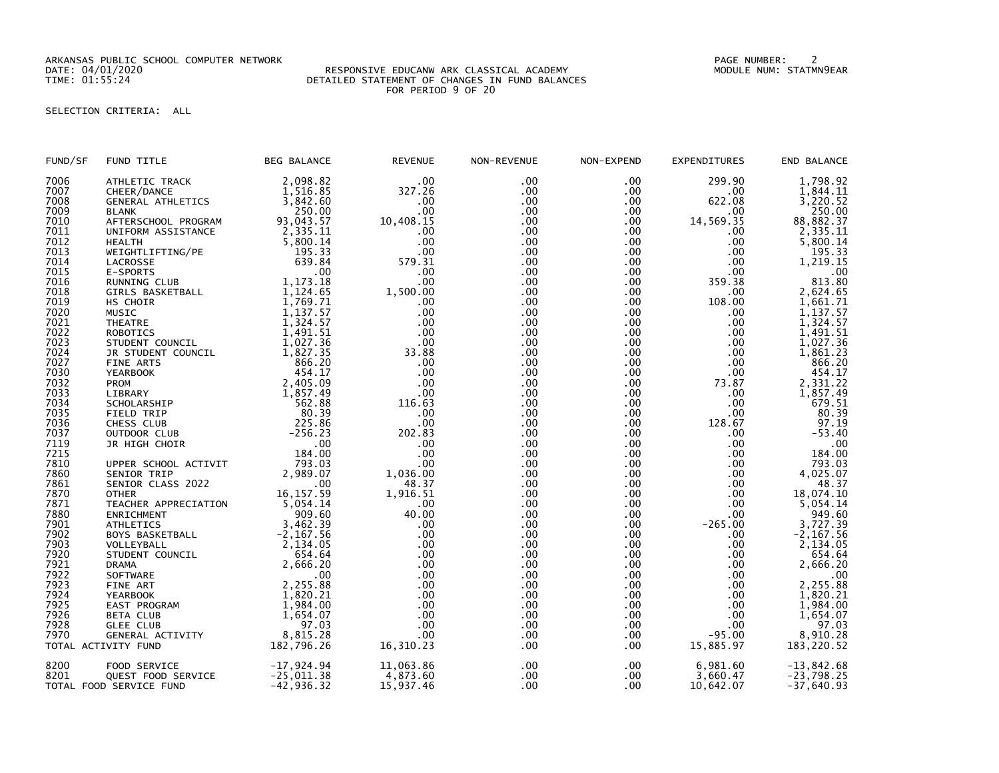ARKANSAS PUBLIC SCHOOL COMPUTER NETWORK PAGE NUMBER: 2

## DATE: 04/01/2020 RESPONSIVE EDUCANW ARK CLASSICAL ACADEMY MODULE NUM: STATMN9EAR TIME: 01:55:24 DETAILED STATEMENT OF CHANGES IN FUND BALANCES FOR PERIOD 9 OF 20

## SELECTION CRITERIA: ALL

| FUND/SF | FUND TITLE               | <b>BEG BALANCE</b> | <b>REVENUE</b> | NON-REVENUE      | NON-EXPEND | <b>EXPENDITURES</b> | END BALANCE  |
|---------|--------------------------|--------------------|----------------|------------------|------------|---------------------|--------------|
| 7006    | ATHLETIC TRACK           | 2,098.82           | .00            | .00              | $.00 \,$   | 299.90              | 1,798.92     |
| 7007    | CHEER/DANCE              | 1,516.85           | 327.26         | $.00 \,$         | $.00 \,$   | $.00 \,$            | 1,844.11     |
| 7008    | <b>GENERAL ATHLETICS</b> | 3,842.60           | .00            | .00 <sub>1</sub> | $.00 \,$   | 622.08              | 3,220.52     |
| 7009    | <b>BLANK</b>             | 250.00             | .00            | $.00 \,$         | $.00 \,$   | .00.                | 250.00       |
| 7010    | AFTERSCHOOL PROGRAM      | 93,043.57          | 10,408.15      | $.00 \,$         | $.00 \,$   | 14,569.35           | 88,882.37    |
| 7011    |                          |                    |                | $.00 \,$         | $.00 \,$   |                     |              |
|         | UNIFORM ASSISTANCE       | 2,335.11           | .00            |                  |            | .00.                | 2,335.11     |
| 7012    | <b>HEALTH</b>            | 5,800.14           | .00            | $.00 \,$         | $.00 \,$   | $.00 \,$            | 5,800.14     |
| 7013    | WEIGHTLIFTING/PE         | 195.33             | .00            | $.00 \,$         | $.00 \,$   | .00.                | 195.33       |
| 7014    | LACROSSE                 | 639.84             | 579.31         | .00              | $.00 \,$   | .00                 | 1,219.15     |
| 7015    | E-SPORTS                 | .00                | .00            | .00 <sub>1</sub> | .00        | .00                 | .00          |
| 7016    | RUNNING CLUB             | 1,173.18           | .00            | $.00 \,$         | $.00 \,$   | 359.38              | 813.80       |
| 7018    | GIRLS BASKETBALL         | 1,124.65           | 1,500.00       | .00              | $.00 \,$   | .00                 | 2,624.65     |
| 7019    | HS CHOIR                 | 1,769.71           | .00            | .00              | .00        | 108.00              | 1,661.71     |
| 7020    | MUSIC                    | 1,137.57           | .00            | $.00 \,$         | $.00 \,$   | .00                 | 1,137.57     |
| 7021    | <b>THEATRE</b>           | 1,324.57           | .00            | .00 <sub>1</sub> | $.00 \,$   | .00                 | 1,324.57     |
| 7022    | ROBOTICS                 | 1,491.51           | .00            | $.00 \,$         | .00        | $.00 \,$            | 1,491.51     |
| 7023    | STUDENT COUNCIL          | 1,027.36           | .00            | $.00 \,$         | .00        | .00                 | 1,027.36     |
| 7024    | JR STUDENT COUNCIL       | 1,827.35           | 33.88          | $.00 \,$         | $.00 \,$   | $.00 \,$            | 1,861.23     |
| 7027    | FINE ARTS                | 866.20             | .00            | $.00 \,$         | $.00 \,$   | $.00 \,$            | 866.20       |
| 7030    | <b>YEARBOOK</b>          | 454.17             | .00            | $.00 \,$         | $.00 \,$   | $.00 \,$            | 454.17       |
| 7032    |                          |                    | .00            | .00              |            | 73.87               |              |
|         | <b>PROM</b>              | 2,405.09           |                | .00 <sub>1</sub> | $.00 \,$   |                     | 2,331.22     |
| 7033    | LIBRARY                  | 1,857.49           | .00            |                  | .00        | .00                 | 1,857.49     |
| 7034    | SCHOLARSHIP              | 562.88             | 116.63         | $.00 \,$         | $.00 \,$   | .00.                | 679.51       |
| 7035    | FIELD TRIP               | 80.39              | .00            | .00              | $.00 \,$   | .00                 | 80.39        |
| 7036    | CHESS CLUB               | 225.86             | .00            | $.00 \,$         | $.00 \,$   | 128.67              | 97.19        |
| 7037    | OUTDOOR CLUB             | $-256.23$          | 202.83         | $.00 \,$         | $.00 \,$   | $.00 \,$            | $-53.40$     |
| 7119    | JR HIGH CHOIR            | .00                | .00            | $.00 \,$         | $.00 \,$   | .00                 | .00          |
| 7215    |                          | 184.00             | .00            | $.00 \,$         | .00        | $.00 \,$            | 184.00       |
| 7810    | UPPER SCHOOL ACTIVIT     | 793.03             | .00            | $.00 \,$         | $.00 \,$   | .00                 | 793.03       |
| 7860    | SENIOR TRIP              | 2,989.07           | 1,036.00       | $.00 \,$         | $.00 \,$   | $.00 \,$            | 4,025.07     |
| 7861    | SENIOR CLASS 2022        | .00                | 48.37          | $.00 \,$         | $.00 \,$   | $.00 \,$            | 48.37        |
| 7870    | <b>OTHER</b>             | 16, 157.59         | 1,916.51       | $.00 \,$         | $.00 \,$   | $.00 \,$            | 18,074.10    |
| 7871    | TEACHER APPRECIATION     | 5,054.14           | .00            | $.00 \,$         | $.00 \,$   | $.00 \,$            | 5,054.14     |
| 7880    | ENRICHMENT               | 909.60             | 40.00          | .00 <sub>1</sub> | $.00 \,$   | $.00 \,$            | 949.60       |
| 7901    | <b>ATHLETICS</b>         | 3,462.39           | .00            | $.00 \,$         | $.00 \,$   | $-265.00$           | 3,727.39     |
| 7902    | BOYS BASKETBALL          | $-2, 167.56$       | .00            | $.00 \,$         | $.00 \,$   | $.00 \,$            | $-2, 167.56$ |
| 7903    | VOLLEYBALL               | 2,134.05           | .00            | $.00 \,$         | $.00 \,$   | $.00 \,$            | 2,134.05     |
| 7920    | STUDENT COUNCIL          | 654.64             | .00            | $.00 \,$         | $.00 \,$   | .00                 | 654.64       |
| 7921    |                          | 2,666.20           | .00            | .00              | $.00 \,$   | .00                 | 2,666.20     |
|         | <b>DRAMA</b>             |                    |                |                  |            |                     |              |
| 7922    | SOFTWARE                 | .00                | .00            | $.00 \,$         | .00        | $.00 \,$            | .00          |
| 7923    | FINE ART                 | 2,255.88           | .00            | $.00 \,$         | .00        | .00                 | 2,255.88     |
| 7924    | <b>YEARBOOK</b>          | 1,820.21           | .00            | $.00 \,$         | $.00 \,$   | .00                 | 1,820.21     |
| 7925    | EAST PROGRAM             | 1,984.00           | .00            | $.00 \,$         | $.00 \,$   | $.00 \,$            | 1,984.00     |
| 7926    | <b>BETA CLUB</b>         | 1,654.07           | .00            | $.00 \,$         | $.00 \,$   | $.00 \,$            | 1,654.07     |
| 7928    | <b>GLEE CLUB</b>         | 97.03              | .00            | .00              | .00        | .00                 | 97.03        |
| 7970    | GENERAL ACTIVITY         | 8,815.28           | .00            | .00 <sub>1</sub> | .00        | $-95.00$            | 8,910.28     |
|         | TOTAL ACTIVITY FUND      | 182,796.26         | 16,310.23      | .00              | $.00 \,$   | 15,885.97           | 183,220.52   |
| 8200    | FOOD SERVICE             | $-17,924.94$       | 11,063.86      | .00              | $.00 \,$   | 6,981.60            | $-13,842.68$ |
| 8201    | QUEST FOOD SERVICE       | $-25,011.38$       | 4,873.60       | $.00 \,$         | $.00 \,$   | 3,660.47            | $-23,798.25$ |
|         | TOTAL FOOD SERVICE FUND  | $-42,936.32$       | 15,937.46      | .00              | $.00 \,$   | 10,642.07           | $-37,640.93$ |